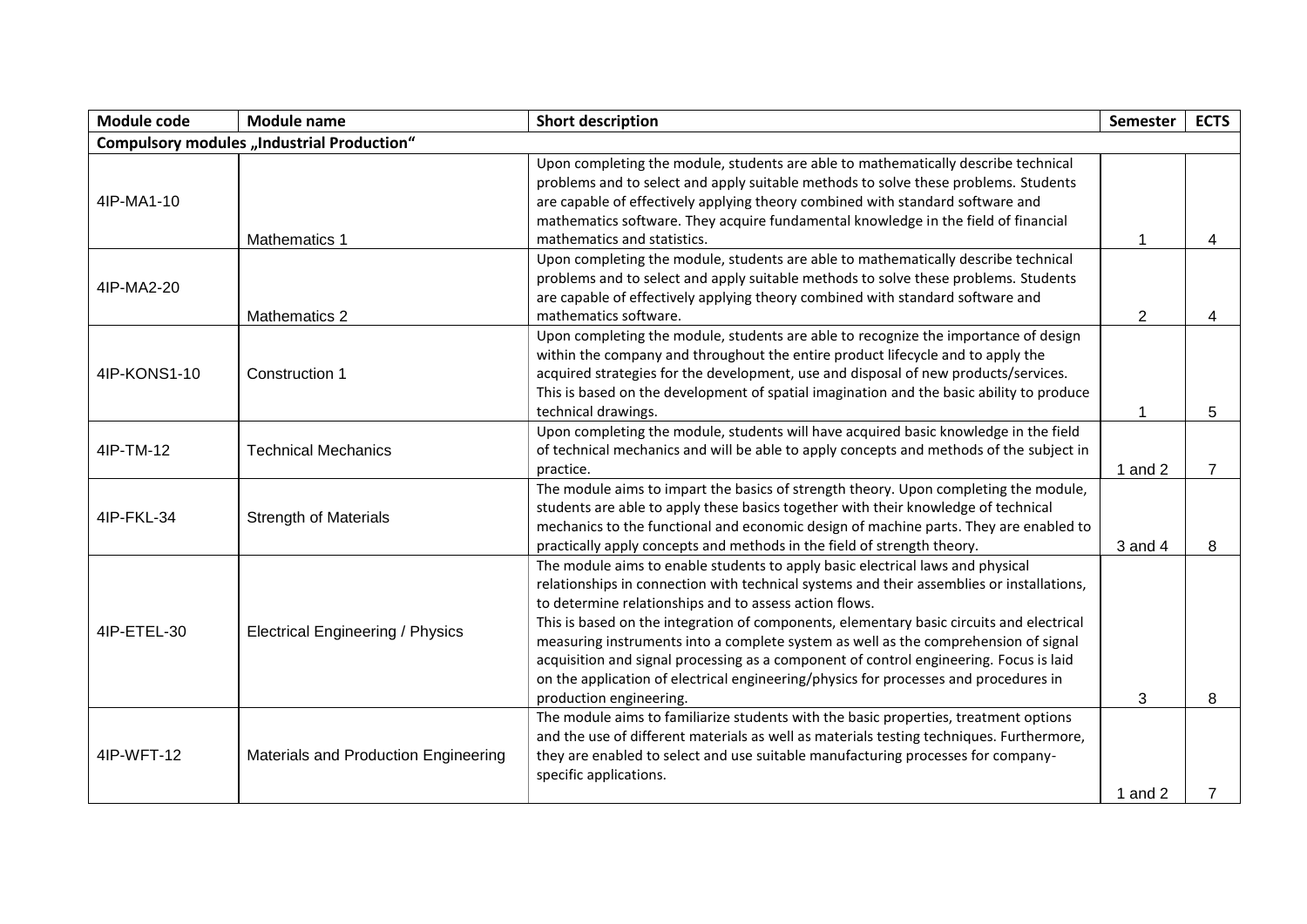| Module code                                       | <b>Module name</b>                      | <b>Short description</b>                                                                                                                                                       | Semester       | <b>ECTS</b>    |
|---------------------------------------------------|-----------------------------------------|--------------------------------------------------------------------------------------------------------------------------------------------------------------------------------|----------------|----------------|
| <b>Compulsory modules "Industrial Production"</b> |                                         |                                                                                                                                                                                |                |                |
| 4IP-MA1-10                                        |                                         | Upon completing the module, students are able to mathematically describe technical                                                                                             |                |                |
|                                                   |                                         | problems and to select and apply suitable methods to solve these problems. Students                                                                                            |                |                |
|                                                   |                                         | are capable of effectively applying theory combined with standard software and                                                                                                 |                |                |
|                                                   |                                         | mathematics software. They acquire fundamental knowledge in the field of financial                                                                                             |                |                |
|                                                   | Mathematics 1                           | mathematics and statistics.                                                                                                                                                    | 1              | 4              |
|                                                   |                                         | Upon completing the module, students are able to mathematically describe technical                                                                                             |                |                |
| 4IP-MA2-20                                        |                                         | problems and to select and apply suitable methods to solve these problems. Students                                                                                            |                |                |
|                                                   |                                         | are capable of effectively applying theory combined with standard software and                                                                                                 |                |                |
|                                                   | Mathematics 2                           | mathematics software.                                                                                                                                                          | $\overline{2}$ | 4              |
|                                                   |                                         | Upon completing the module, students are able to recognize the importance of design                                                                                            |                |                |
|                                                   |                                         | within the company and throughout the entire product lifecycle and to apply the                                                                                                |                |                |
| 4IP-KONS1-10                                      | Construction 1                          | acquired strategies for the development, use and disposal of new products/services.                                                                                            |                |                |
|                                                   |                                         | This is based on the development of spatial imagination and the basic ability to produce                                                                                       |                |                |
|                                                   |                                         | technical drawings.                                                                                                                                                            | 1              | 5              |
|                                                   |                                         | Upon completing the module, students will have acquired basic knowledge in the field                                                                                           |                |                |
| 4IP-TM-12                                         | <b>Technical Mechanics</b>              | of technical mechanics and will be able to apply concepts and methods of the subject in                                                                                        |                |                |
|                                                   |                                         | practice.                                                                                                                                                                      | 1 and $2$      | $\overline{7}$ |
|                                                   | <b>Strength of Materials</b>            | The module aims to impart the basics of strength theory. Upon completing the module,                                                                                           |                |                |
| 4IP-FKL-34                                        |                                         | students are able to apply these basics together with their knowledge of technical                                                                                             |                |                |
|                                                   |                                         | mechanics to the functional and economic design of machine parts. They are enabled to                                                                                          |                |                |
|                                                   |                                         | practically apply concepts and methods in the field of strength theory.                                                                                                        | 3 and 4        | 8              |
|                                                   | <b>Electrical Engineering / Physics</b> | The module aims to enable students to apply basic electrical laws and physical                                                                                                 |                |                |
|                                                   |                                         | relationships in connection with technical systems and their assemblies or installations,                                                                                      |                |                |
|                                                   |                                         | to determine relationships and to assess action flows.                                                                                                                         |                |                |
| 4IP-ETEL-30                                       |                                         | This is based on the integration of components, elementary basic circuits and electrical                                                                                       |                |                |
|                                                   |                                         | measuring instruments into a complete system as well as the comprehension of signal                                                                                            |                |                |
|                                                   |                                         | acquisition and signal processing as a component of control engineering. Focus is laid<br>on the application of electrical engineering/physics for processes and procedures in |                |                |
|                                                   |                                         | production engineering.                                                                                                                                                        | 3              | 8              |
|                                                   |                                         | The module aims to familiarize students with the basic properties, treatment options                                                                                           |                |                |
| 4IP-WFT-12                                        |                                         | and the use of different materials as well as materials testing techniques. Furthermore,                                                                                       |                |                |
|                                                   | Materials and Production Engineering    | they are enabled to select and use suitable manufacturing processes for company-                                                                                               |                |                |
|                                                   |                                         | specific applications.                                                                                                                                                         |                |                |
|                                                   |                                         |                                                                                                                                                                                | 1 and $2$      |                |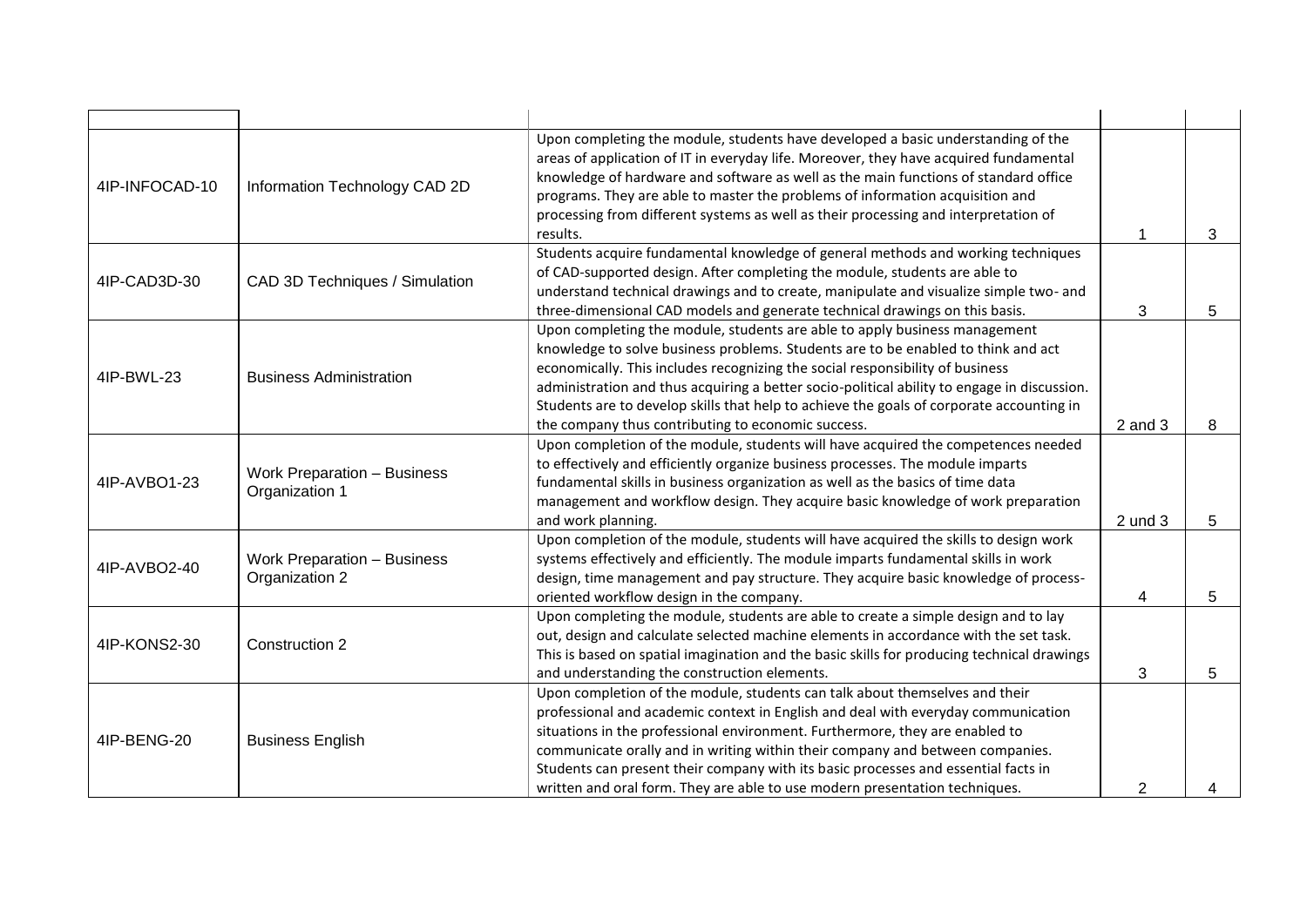| 4IP-INFOCAD-10 | Information Technology CAD 2D                        | Upon completing the module, students have developed a basic understanding of the<br>areas of application of IT in everyday life. Moreover, they have acquired fundamental<br>knowledge of hardware and software as well as the main functions of standard office<br>programs. They are able to master the problems of information acquisition and<br>processing from different systems as well as their processing and interpretation of<br>results.                                                   | 1           | 3 |
|----------------|------------------------------------------------------|--------------------------------------------------------------------------------------------------------------------------------------------------------------------------------------------------------------------------------------------------------------------------------------------------------------------------------------------------------------------------------------------------------------------------------------------------------------------------------------------------------|-------------|---|
| 4IP-CAD3D-30   | CAD 3D Techniques / Simulation                       | Students acquire fundamental knowledge of general methods and working techniques<br>of CAD-supported design. After completing the module, students are able to<br>understand technical drawings and to create, manipulate and visualize simple two- and<br>three-dimensional CAD models and generate technical drawings on this basis.                                                                                                                                                                 | 3           | 5 |
| 4IP-BWL-23     | <b>Business Administration</b>                       | Upon completing the module, students are able to apply business management<br>knowledge to solve business problems. Students are to be enabled to think and act<br>economically. This includes recognizing the social responsibility of business<br>administration and thus acquiring a better socio-political ability to engage in discussion.<br>Students are to develop skills that help to achieve the goals of corporate accounting in<br>the company thus contributing to economic success.      | $2$ and $3$ | 8 |
| 4IP-AVBO1-23   | <b>Work Preparation - Business</b><br>Organization 1 | Upon completion of the module, students will have acquired the competences needed<br>to effectively and efficiently organize business processes. The module imparts<br>fundamental skills in business organization as well as the basics of time data<br>management and workflow design. They acquire basic knowledge of work preparation<br>and work planning.                                                                                                                                        | $2$ und $3$ | 5 |
| 4IP-AVBO2-40   | <b>Work Preparation - Business</b><br>Organization 2 | Upon completion of the module, students will have acquired the skills to design work<br>systems effectively and efficiently. The module imparts fundamental skills in work<br>design, time management and pay structure. They acquire basic knowledge of process-<br>oriented workflow design in the company.                                                                                                                                                                                          | 4           | 5 |
| 4IP-KONS2-30   | Construction 2                                       | Upon completing the module, students are able to create a simple design and to lay<br>out, design and calculate selected machine elements in accordance with the set task.<br>This is based on spatial imagination and the basic skills for producing technical drawings<br>and understanding the construction elements.                                                                                                                                                                               | 3           | 5 |
| 4IP-BENG-20    | <b>Business English</b>                              | Upon completion of the module, students can talk about themselves and their<br>professional and academic context in English and deal with everyday communication<br>situations in the professional environment. Furthermore, they are enabled to<br>communicate orally and in writing within their company and between companies.<br>Students can present their company with its basic processes and essential facts in<br>written and oral form. They are able to use modern presentation techniques. | 2           |   |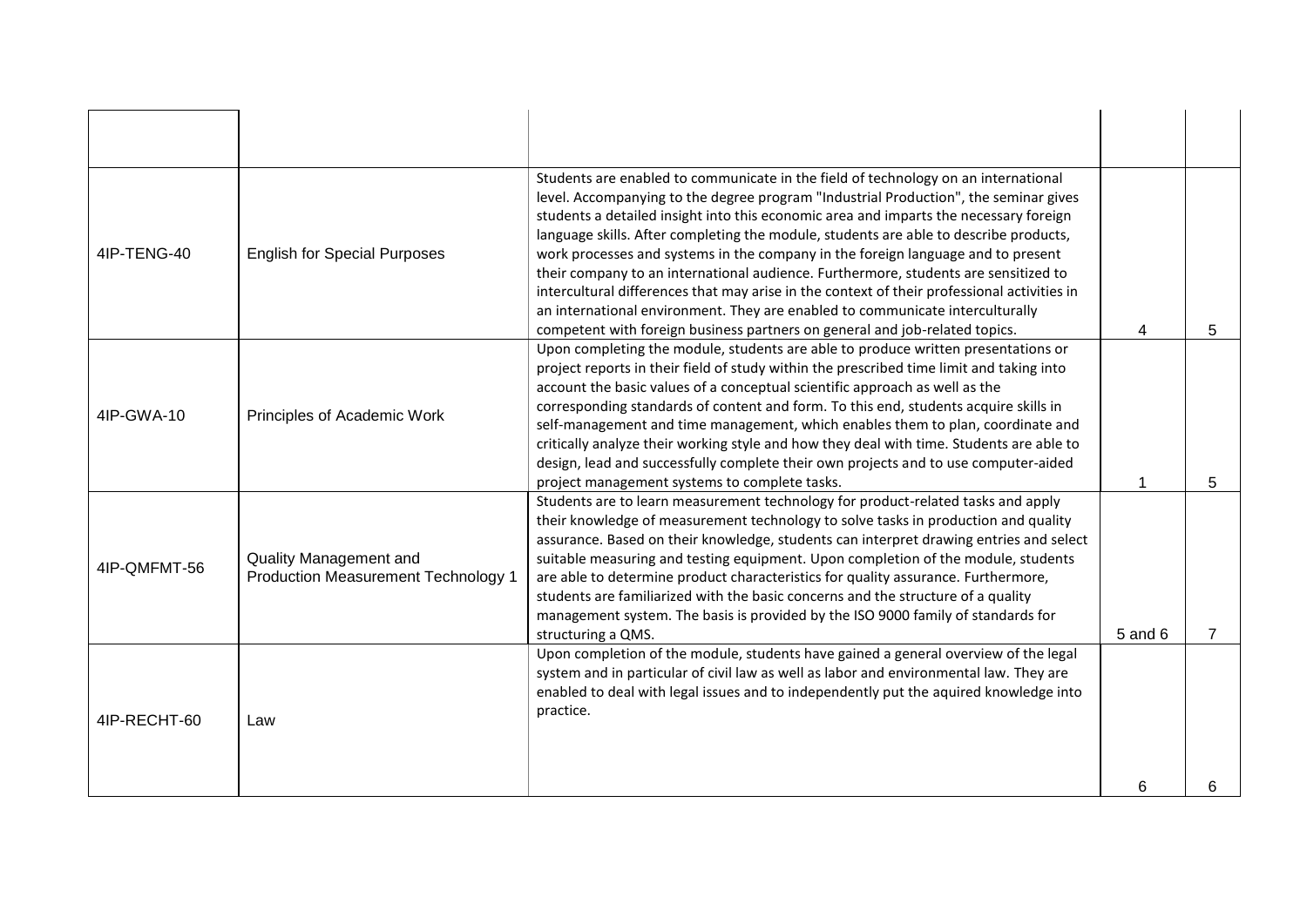| 4IP-TENG-40  | <b>English for Special Purposes</b>                                  | Students are enabled to communicate in the field of technology on an international<br>level. Accompanying to the degree program "Industrial Production", the seminar gives<br>students a detailed insight into this economic area and imparts the necessary foreign<br>language skills. After completing the module, students are able to describe products,<br>work processes and systems in the company in the foreign language and to present<br>their company to an international audience. Furthermore, students are sensitized to<br>intercultural differences that may arise in the context of their professional activities in<br>an international environment. They are enabled to communicate interculturally<br>competent with foreign business partners on general and job-related topics. | 4       | 5 |
|--------------|----------------------------------------------------------------------|--------------------------------------------------------------------------------------------------------------------------------------------------------------------------------------------------------------------------------------------------------------------------------------------------------------------------------------------------------------------------------------------------------------------------------------------------------------------------------------------------------------------------------------------------------------------------------------------------------------------------------------------------------------------------------------------------------------------------------------------------------------------------------------------------------|---------|---|
| 4IP-GWA-10   | Principles of Academic Work                                          | Upon completing the module, students are able to produce written presentations or<br>project reports in their field of study within the prescribed time limit and taking into<br>account the basic values of a conceptual scientific approach as well as the<br>corresponding standards of content and form. To this end, students acquire skills in<br>self-management and time management, which enables them to plan, coordinate and<br>critically analyze their working style and how they deal with time. Students are able to<br>design, lead and successfully complete their own projects and to use computer-aided<br>project management systems to complete tasks.                                                                                                                            |         | 5 |
| 4IP-QMFMT-56 | Quality Management and<br><b>Production Measurement Technology 1</b> | Students are to learn measurement technology for product-related tasks and apply<br>their knowledge of measurement technology to solve tasks in production and quality<br>assurance. Based on their knowledge, students can interpret drawing entries and select<br>suitable measuring and testing equipment. Upon completion of the module, students<br>are able to determine product characteristics for quality assurance. Furthermore,<br>students are familiarized with the basic concerns and the structure of a quality<br>management system. The basis is provided by the ISO 9000 family of standards for<br>structuring a QMS.                                                                                                                                                               | 5 and 6 |   |
| 4IP-RECHT-60 | Law                                                                  | Upon completion of the module, students have gained a general overview of the legal<br>system and in particular of civil law as well as labor and environmental law. They are<br>enabled to deal with legal issues and to independently put the aquired knowledge into<br>practice.                                                                                                                                                                                                                                                                                                                                                                                                                                                                                                                    | 6       |   |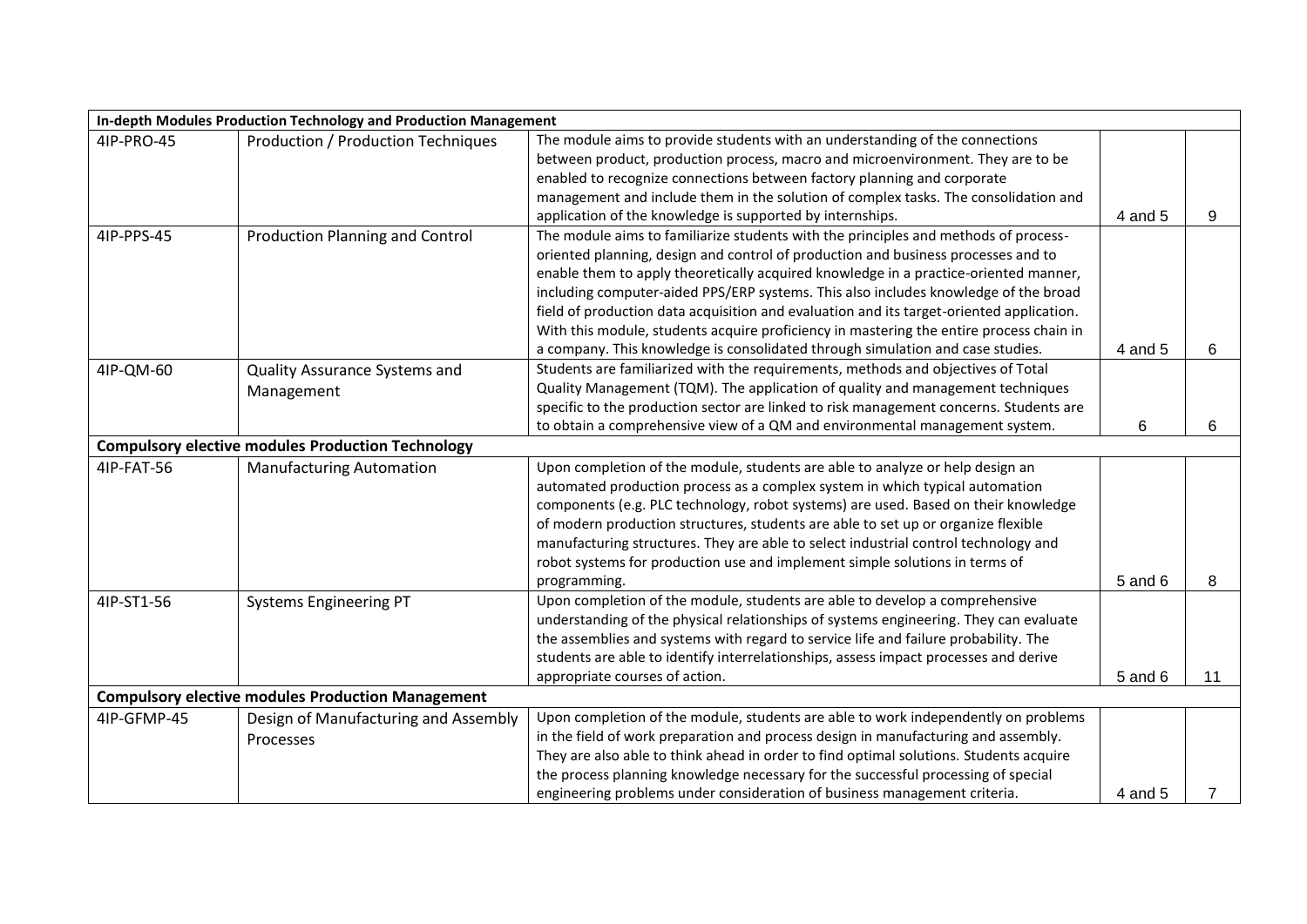| In-depth Modules Production Technology and Production Management |                                                          |                                                                                          |         |    |  |
|------------------------------------------------------------------|----------------------------------------------------------|------------------------------------------------------------------------------------------|---------|----|--|
| 4IP-PRO-45                                                       | <b>Production / Production Techniques</b>                | The module aims to provide students with an understanding of the connections             |         |    |  |
|                                                                  |                                                          | between product, production process, macro and microenvironment. They are to be          |         |    |  |
|                                                                  |                                                          | enabled to recognize connections between factory planning and corporate                  |         |    |  |
|                                                                  |                                                          | management and include them in the solution of complex tasks. The consolidation and      |         |    |  |
|                                                                  |                                                          | application of the knowledge is supported by internships.                                | 4 and 5 | 9  |  |
| 4IP-PPS-45                                                       | <b>Production Planning and Control</b>                   | The module aims to familiarize students with the principles and methods of process-      |         |    |  |
|                                                                  |                                                          | oriented planning, design and control of production and business processes and to        |         |    |  |
|                                                                  |                                                          | enable them to apply theoretically acquired knowledge in a practice-oriented manner,     |         |    |  |
|                                                                  |                                                          | including computer-aided PPS/ERP systems. This also includes knowledge of the broad      |         |    |  |
|                                                                  |                                                          | field of production data acquisition and evaluation and its target-oriented application. |         |    |  |
|                                                                  |                                                          | With this module, students acquire proficiency in mastering the entire process chain in  |         |    |  |
|                                                                  |                                                          | a company. This knowledge is consolidated through simulation and case studies.           | 4 and 5 | 6  |  |
| 4IP-QM-60                                                        | Quality Assurance Systems and                            | Students are familiarized with the requirements, methods and objectives of Total         |         |    |  |
|                                                                  | Management                                               | Quality Management (TQM). The application of quality and management techniques           |         |    |  |
|                                                                  |                                                          | specific to the production sector are linked to risk management concerns. Students are   |         |    |  |
|                                                                  |                                                          | to obtain a comprehensive view of a QM and environmental management system.              | 6       | 6  |  |
| <b>Compulsory elective modules Production Technology</b>         |                                                          |                                                                                          |         |    |  |
| 4IP-FAT-56                                                       | <b>Manufacturing Automation</b>                          | Upon completion of the module, students are able to analyze or help design an            |         |    |  |
|                                                                  |                                                          | automated production process as a complex system in which typical automation             |         |    |  |
|                                                                  |                                                          | components (e.g. PLC technology, robot systems) are used. Based on their knowledge       |         |    |  |
|                                                                  |                                                          | of modern production structures, students are able to set up or organize flexible        |         |    |  |
|                                                                  |                                                          | manufacturing structures. They are able to select industrial control technology and      |         |    |  |
|                                                                  |                                                          | robot systems for production use and implement simple solutions in terms of              |         |    |  |
|                                                                  |                                                          | programming.                                                                             | 5 and 6 | 8  |  |
| 4IP-ST1-56                                                       | <b>Systems Engineering PT</b>                            | Upon completion of the module, students are able to develop a comprehensive              |         |    |  |
|                                                                  |                                                          | understanding of the physical relationships of systems engineering. They can evaluate    |         |    |  |
|                                                                  |                                                          | the assemblies and systems with regard to service life and failure probability. The      |         |    |  |
|                                                                  |                                                          | students are able to identify interrelationships, assess impact processes and derive     |         |    |  |
|                                                                  |                                                          | appropriate courses of action.                                                           | 5 and 6 | 11 |  |
|                                                                  | <b>Compulsory elective modules Production Management</b> |                                                                                          |         |    |  |
| 4IP-GFMP-45                                                      | Design of Manufacturing and Assembly                     | Upon completion of the module, students are able to work independently on problems       |         |    |  |
|                                                                  | Processes                                                | in the field of work preparation and process design in manufacturing and assembly.       |         |    |  |
|                                                                  |                                                          | They are also able to think ahead in order to find optimal solutions. Students acquire   |         |    |  |
|                                                                  |                                                          | the process planning knowledge necessary for the successful processing of special        |         |    |  |
|                                                                  |                                                          | engineering problems under consideration of business management criteria.                | 4 and 5 | 7  |  |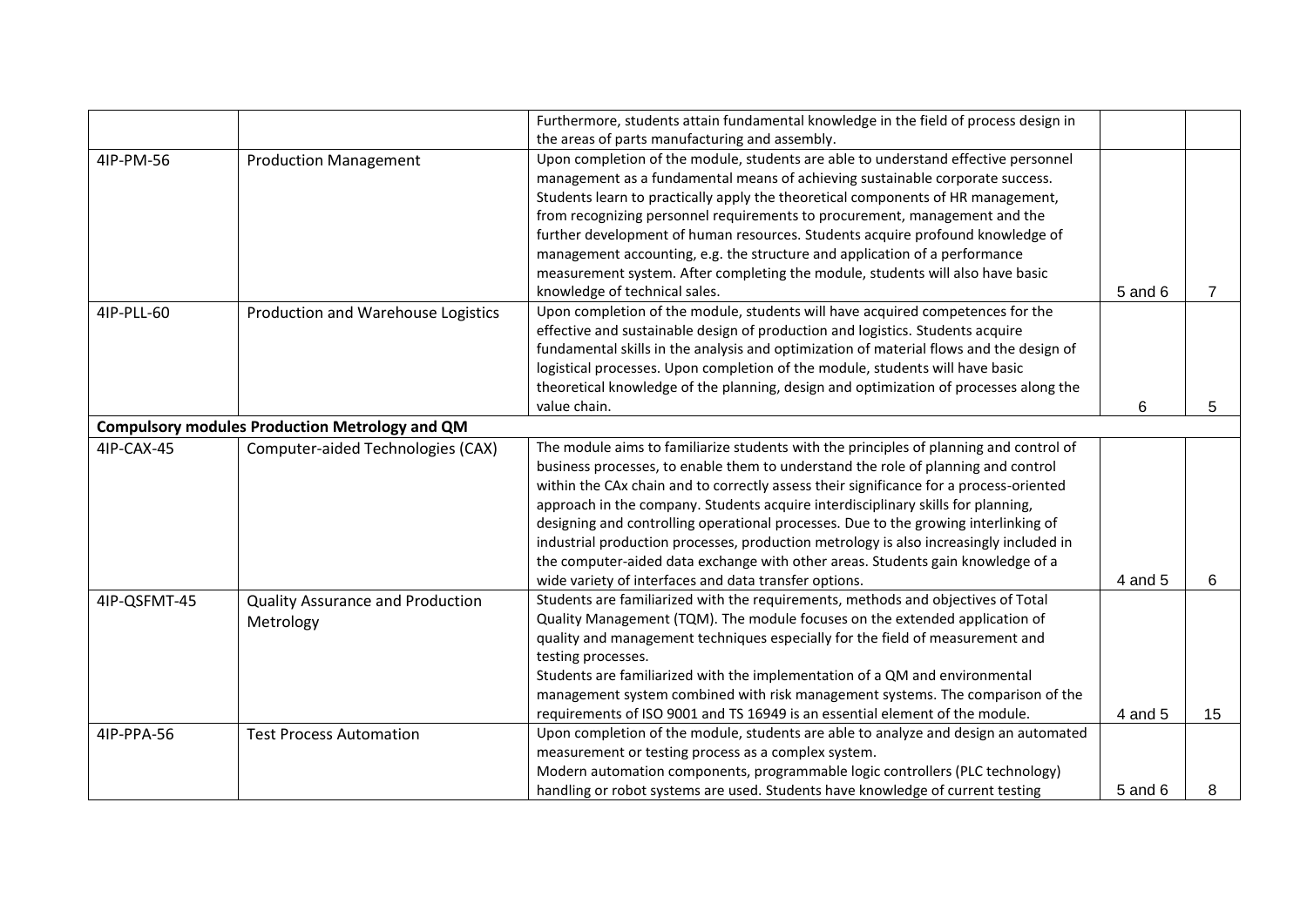|              |                                                       | Furthermore, students attain fundamental knowledge in the field of process design in                                                                                                                                                                                                                                                                                                                                                                                                                                                                                                                                                                                                   |         |    |
|--------------|-------------------------------------------------------|----------------------------------------------------------------------------------------------------------------------------------------------------------------------------------------------------------------------------------------------------------------------------------------------------------------------------------------------------------------------------------------------------------------------------------------------------------------------------------------------------------------------------------------------------------------------------------------------------------------------------------------------------------------------------------------|---------|----|
| 4IP-PM-56    | <b>Production Management</b>                          | the areas of parts manufacturing and assembly.<br>Upon completion of the module, students are able to understand effective personnel<br>management as a fundamental means of achieving sustainable corporate success.<br>Students learn to practically apply the theoretical components of HR management,<br>from recognizing personnel requirements to procurement, management and the<br>further development of human resources. Students acquire profound knowledge of                                                                                                                                                                                                              |         |    |
|              |                                                       | management accounting, e.g. the structure and application of a performance<br>measurement system. After completing the module, students will also have basic<br>knowledge of technical sales.                                                                                                                                                                                                                                                                                                                                                                                                                                                                                          | 5 and 6 | 7  |
| 4IP-PLL-60   | Production and Warehouse Logistics                    | Upon completion of the module, students will have acquired competences for the<br>effective and sustainable design of production and logistics. Students acquire<br>fundamental skills in the analysis and optimization of material flows and the design of<br>logistical processes. Upon completion of the module, students will have basic<br>theoretical knowledge of the planning, design and optimization of processes along the<br>value chain.                                                                                                                                                                                                                                  | 6       | 5  |
|              | <b>Compulsory modules Production Metrology and QM</b> |                                                                                                                                                                                                                                                                                                                                                                                                                                                                                                                                                                                                                                                                                        |         |    |
| 4IP-CAX-45   | Computer-aided Technologies (CAX)                     | The module aims to familiarize students with the principles of planning and control of<br>business processes, to enable them to understand the role of planning and control<br>within the CAx chain and to correctly assess their significance for a process-oriented<br>approach in the company. Students acquire interdisciplinary skills for planning,<br>designing and controlling operational processes. Due to the growing interlinking of<br>industrial production processes, production metrology is also increasingly included in<br>the computer-aided data exchange with other areas. Students gain knowledge of a<br>wide variety of interfaces and data transfer options. | 4 and 5 | 6  |
| 4IP-QSFMT-45 | <b>Quality Assurance and Production</b><br>Metrology  | Students are familiarized with the requirements, methods and objectives of Total<br>Quality Management (TQM). The module focuses on the extended application of<br>quality and management techniques especially for the field of measurement and<br>testing processes.<br>Students are familiarized with the implementation of a QM and environmental<br>management system combined with risk management systems. The comparison of the<br>requirements of ISO 9001 and TS 16949 is an essential element of the module.                                                                                                                                                                | 4 and 5 | 15 |
| 4IP-PPA-56   | <b>Test Process Automation</b>                        | Upon completion of the module, students are able to analyze and design an automated<br>measurement or testing process as a complex system.<br>Modern automation components, programmable logic controllers (PLC technology)<br>handling or robot systems are used. Students have knowledge of current testing                                                                                                                                                                                                                                                                                                                                                                          | 5 and 6 | 8  |